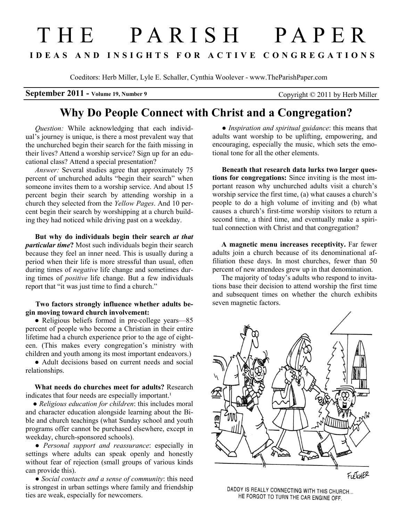## T H E P A R I S H P A P E R I D E A S A N D I N S I G H T S F O R A C T I V E C O N G R E G A T I O N S

Coeditors: Herb Miller, Lyle E. Schaller, Cynthia Woolever - www.TheParishPaper.com

September 2011 - Volume 19, Number 9 Copyright © 2011 by Herb Miller

## Why Do People Connect with Christ and a Congregation?

Question: While acknowledging that each individual's journey is unique, is there a most prevalent way that the unchurched begin their search for the faith missing in their lives? Attend a worship service? Sign up for an educational class? Attend a special presentation?

Answer: Several studies agree that approximately 75 percent of unchurched adults "begin their search" when someone invites them to a worship service. And about 15 percent begin their search by attending worship in a church they selected from the Yellow Pages. And 10 percent begin their search by worshipping at a church building they had noticed while driving past on a weekday.

But why do individuals begin their search at that particular time? Most such individuals begin their search because they feel an inner need. This is usually during a period when their life is more stressful than usual, often during times of *negative* life change and sometimes during times of positive life change. But a few individuals report that "it was just time to find a church."

## Two factors strongly influence whether adults begin moving toward church involvement:

• Religious beliefs formed in pre-college years—85 percent of people who become a Christian in their entire lifetime had a church experience prior to the age of eighteen. (This makes every congregation's ministry with children and youth among its most important endeavors.)

 ● Adult decisions based on current needs and social relationships.

 What needs do churches meet for adults? Research indicates that four needs are especially important.<sup>1</sup>

• Religious education for children: this includes moral and character education alongside learning about the Bible and church teachings (what Sunday school and youth programs offer cannot be purchased elsewhere, except in weekday, church-sponsored schools).

• Personal support and reassurance: especially in settings where adults can speak openly and honestly without fear of rejection (small groups of various kinds can provide this).

• Social contacts and a sense of community: this need is strongest in urban settings where family and friendship ties are weak, especially for newcomers.

• Inspiration and spiritual guidance: this means that adults want worship to be uplifting, empowering, and encouraging, especially the music, which sets the emotional tone for all the other elements.

Beneath that research data lurks two larger questions for congregations: Since inviting is the most important reason why unchurched adults visit a church's worship service the first time, (a) what causes a church's people to do a high volume of inviting and (b) what causes a church's first-time worship visitors to return a second time, a third time, and eventually make a spiritual connection with Christ and that congregation?

 A magnetic menu increases receptivity. Far fewer adults join a church because of its denominational affiliation these days. In most churches, fewer than 50 percent of new attendees grew up in that denomination.

 The majority of today's adults who respond to invitations base their decision to attend worship the first time and subsequent times on whether the church exhibits seven magnetic factors.



DADDY IS REALLY CONNECTING WITH THIS CHURCH... HE FORGOT TO TURN THE CAR ENGINE OFF.